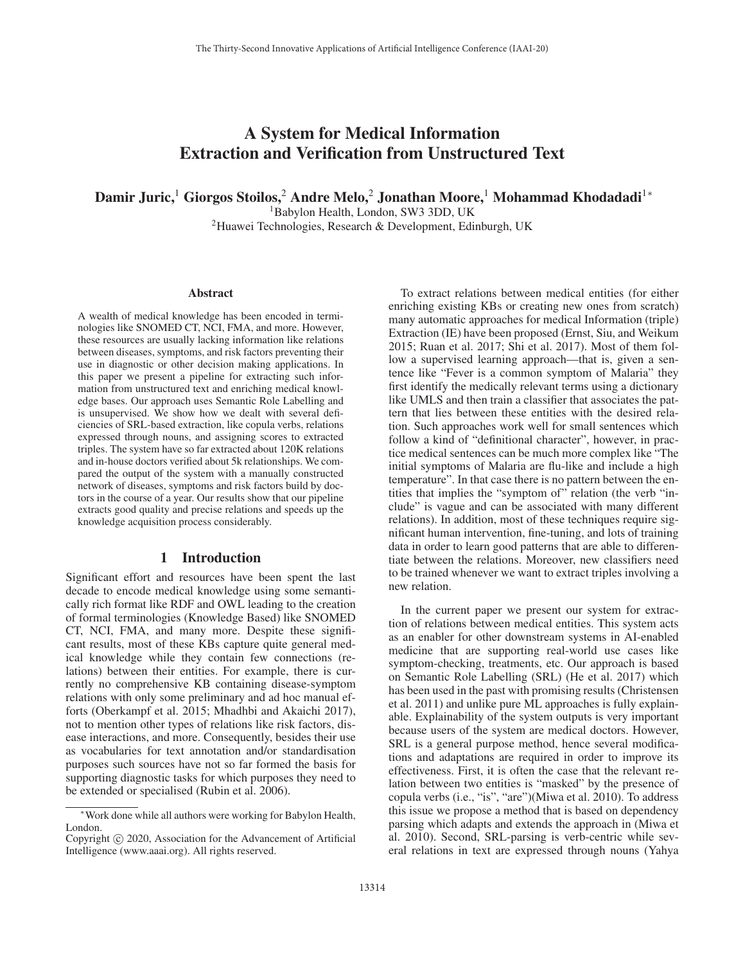# A System for Medical Information Extraction and Verification from Unstructured Text

Damir Juric,<sup>1</sup> Giorgos Stoilos,<sup>2</sup> Andre Melo,<sup>2</sup> Jonathan Moore,<sup>1</sup> Mohammad Khodadadi<sup>1</sup><sup>∗</sup>

<sup>1</sup>Babylon Health, London, SW3 3DD, UK

2Huawei Technologies, Research & Development, Edinburgh, UK

#### Abstract

A wealth of medical knowledge has been encoded in terminologies like SNOMED CT, NCI, FMA, and more. However, these resources are usually lacking information like relations between diseases, symptoms, and risk factors preventing their use in diagnostic or other decision making applications. In this paper we present a pipeline for extracting such information from unstructured text and enriching medical knowledge bases. Our approach uses Semantic Role Labelling and is unsupervised. We show how we dealt with several deficiencies of SRL-based extraction, like copula verbs, relations expressed through nouns, and assigning scores to extracted triples. The system have so far extracted about 120K relations and in-house doctors verified about 5k relationships. We compared the output of the system with a manually constructed network of diseases, symptoms and risk factors build by doctors in the course of a year. Our results show that our pipeline extracts good quality and precise relations and speeds up the knowledge acquisition process considerably.

#### 1 Introduction

Significant effort and resources have been spent the last decade to encode medical knowledge using some semantically rich format like RDF and OWL leading to the creation of formal terminologies (Knowledge Based) like SNOMED CT, NCI, FMA, and many more. Despite these significant results, most of these KBs capture quite general medical knowledge while they contain few connections (relations) between their entities. For example, there is currently no comprehensive KB containing disease-symptom relations with only some preliminary and ad hoc manual efforts (Oberkampf et al. 2015; Mhadhbi and Akaichi 2017), not to mention other types of relations like risk factors, disease interactions, and more. Consequently, besides their use as vocabularies for text annotation and/or standardisation purposes such sources have not so far formed the basis for supporting diagnostic tasks for which purposes they need to be extended or specialised (Rubin et al. 2006).

To extract relations between medical entities (for either enriching existing KBs or creating new ones from scratch) many automatic approaches for medical Information (triple) Extraction (IE) have been proposed (Ernst, Siu, and Weikum 2015; Ruan et al. 2017; Shi et al. 2017). Most of them follow a supervised learning approach—that is, given a sentence like "Fever is a common symptom of Malaria" they first identify the medically relevant terms using a dictionary like UMLS and then train a classifier that associates the pattern that lies between these entities with the desired relation. Such approaches work well for small sentences which follow a kind of "definitional character", however, in practice medical sentences can be much more complex like "The initial symptoms of Malaria are flu-like and include a high temperature". In that case there is no pattern between the entities that implies the "symptom of" relation (the verb "include" is vague and can be associated with many different relations). In addition, most of these techniques require significant human intervention, fine-tuning, and lots of training data in order to learn good patterns that are able to differentiate between the relations. Moreover, new classifiers need to be trained whenever we want to extract triples involving a new relation.

In the current paper we present our system for extraction of relations between medical entities. This system acts as an enabler for other downstream systems in AI-enabled medicine that are supporting real-world use cases like symptom-checking, treatments, etc. Our approach is based on Semantic Role Labelling (SRL) (He et al. 2017) which has been used in the past with promising results (Christensen et al. 2011) and unlike pure ML approaches is fully explainable. Explainability of the system outputs is very important because users of the system are medical doctors. However, SRL is a general purpose method, hence several modifications and adaptations are required in order to improve its effectiveness. First, it is often the case that the relevant relation between two entities is "masked" by the presence of copula verbs (i.e., "is", "are")(Miwa et al. 2010). To address this issue we propose a method that is based on dependency parsing which adapts and extends the approach in (Miwa et al. 2010). Second, SRL-parsing is verb-centric while several relations in text are expressed through nouns (Yahya

<sup>∗</sup>Work done while all authors were working for Babylon Health, London.

Copyright  $\odot$  2020, Association for the Advancement of Artificial Intelligence (www.aaai.org). All rights reserved.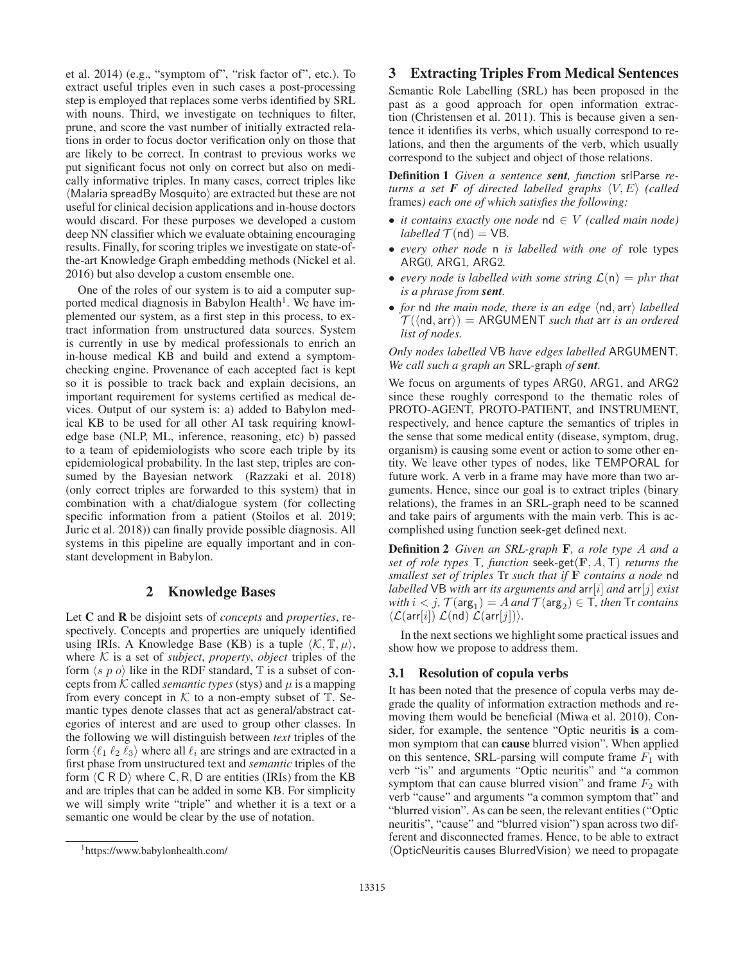et al. 2014) (e.g., "symptom of", "risk factor of", etc.). To extract useful triples even in such cases a post-processing step is employed that replaces some verbs identified by SRL with nouns. Third, we investigate on techniques to filter, prune, and score the vast number of initially extracted relations in order to focus doctor verification only on those that are likely to be correct. In contrast to previous works we put significant focus not only on correct but also on medically informative triples. In many cases, correct triples like (Malaria spreadBy Mosquito) are extracted but these are not useful for clinical decision applications and in-house doctors would discard. For these purposes we developed a custom deep NN classifier which we evaluate obtaining encouraging results. Finally, for scoring triples we investigate on state-ofthe-art Knowledge Graph embedding methods (Nickel et al. 2016) but also develop a custom ensemble one.

One of the roles of our system is to aid a computer supported medical diagnosis in Babylon Health<sup>1</sup>. We have implemented our system, as a first step in this process, to extract information from unstructured data sources. System is currently in use by medical professionals to enrich an in-house medical KB and build and extend a symptomchecking engine. Provenance of each accepted fact is kept so it is possible to track back and explain decisions, an important requirement for systems certified as medical devices. Output of our system is: a) added to Babylon medical KB to be used for all other AI task requiring knowledge base (NLP, ML, inference, reasoning, etc) b) passed to a team of epidemiologists who score each triple by its epidemiological probability. In the last step, triples are consumed by the Bayesian network (Razzaki et al. 2018) (only correct triples are forwarded to this system) that in combination with a chat/dialogue system (for collecting specific information from a patient (Stoilos et al. 2019; Juric et al. 2018)) can finally provide possible diagnosis. All systems in this pipeline are equally important and in constant development in Babylon.

# 2 Knowledge Bases

Let C and R be disjoint sets of *concepts* and *properties*, respectively. Concepts and properties are uniquely identified using IRIs. A Knowledge Base (KB) is a tuple  $\langle K, \mathbb{T}, \mu \rangle$ , where  $K$  is a set of *subject*, *property*, *object* triples of the form  $\langle s \, p \, o \rangle$  like in the RDF standard,  $\mathbb T$  is a subset of concepts from K called *semantic types* (stys) and  $\mu$  is a mapping from every concept in  $K$  to a non-empty subset of  $T$ . Semantic types denote classes that act as general/abstract categories of interest and are used to group other classes. In the following we will distinguish between *text* triples of the form  $\langle \ell_1 | \ell_2 | \ell_3 \rangle$  where all  $\ell_i$  are strings and are extracted in a first phase from unstructured text and *semantic* triples of the form  $\langle C \, R \, D \rangle$  where C, R, D are entities (IRIs) from the KB and are triples that can be added in some KB. For simplicity we will simply write "triple" and whether it is a text or a semantic one would be clear by the use of notation.

# 3 Extracting Triples From Medical Sentences

Semantic Role Labelling (SRL) has been proposed in the past as a good approach for open information extraction (Christensen et al. 2011). This is because given a sentence it identifies its verbs, which usually correspond to relations, and then the arguments of the verb, which usually correspond to the subject and object of those relations.

Definition 1 *Given a sentence sent, function* srlParse *returns a set*  $\bm{F}$  *of directed labelled graphs*  $\langle V, E \rangle$  (called frames*) each one of which satisfies the following:*

- *it contains exactly one node* nd ∈ V *(called main node) labelled*  $\mathcal{T}$ (nd) = VB.
- *every other node* n *is labelled with one of* role types ARG0*,* ARG1*,* ARG2*.*
- *every node is labelled with some string*  $\mathcal{L}(n) = phr$  *that is a phrase from sent.*
- for nd the main node, there is an edge  $\langle$ nd, arr $\rangle$  labelled  $\mathcal{T}(\langle \mathsf{nd}, \mathsf{arr} \rangle) = \mathsf{ARGUMENT}$  *such that* arr *is an ordered list of nodes.*

*Only nodes labelled* VB *have edges labelled* ARGUMENT*. We call such a graph an* SRL-graph *of sent.*

We focus on arguments of types ARG0, ARG1, and ARG2 since these roughly correspond to the thematic roles of PROTO-AGENT, PROTO-PATIENT, and INSTRUMENT, respectively, and hence capture the semantics of triples in the sense that some medical entity (disease, symptom, drug, organism) is causing some event or action to some other entity. We leave other types of nodes, like TEMPORAL for future work. A verb in a frame may have more than two arguments. Hence, since our goal is to extract triples (binary relations), the frames in an SRL-graph need to be scanned and take pairs of arguments with the main verb. This is accomplished using function seek-get defined next.

Definition 2 *Given an SRL-graph* **F***, a role type* A *and a set of role types* T*, function* seek*-*get(**F**, A,T) *returns the smallest set of triples* Tr *such that if* **F** *contains a node* nd *labelled* VB *with* arr *its arguments and* arr[i] *and* arr[j] *exist with*  $i < j$ ,  $\mathcal{T}(\text{arg}_1) = A$  *and*  $\mathcal{T}(\text{arg}_2) \in \mathcal{T}$ *, then*  $\mathcal{T}$ *r contains*  $\langle \mathcal{L}(\text{arr}[i]) \mathcal{L}(\text{nd}) \mathcal{L}(\text{arr}[j]) \rangle$ .

In the next sections we highlight some practical issues and show how we propose to address them.

#### 3.1 Resolution of copula verbs

It has been noted that the presence of copula verbs may degrade the quality of information extraction methods and removing them would be beneficial (Miwa et al. 2010). Consider, for example, the sentence "Optic neuritis is a common symptom that can cause blurred vision". When applied on this sentence, SRL-parsing will compute frame  $F_1$  with verb "is" and arguments "Optic neuritis" and "a common symptom that can cause blurred vision" and frame  $F_2$  with verb "cause" and arguments "a common symptom that" and "blurred vision". As can be seen, the relevant entities ("Optic neuritis", "cause" and "blurred vision") span across two different and disconnected frames. Hence, to be able to extract -OpticNeuritis causes BlurredVision we need to propagate

<sup>1</sup> https://www.babylonhealth.com/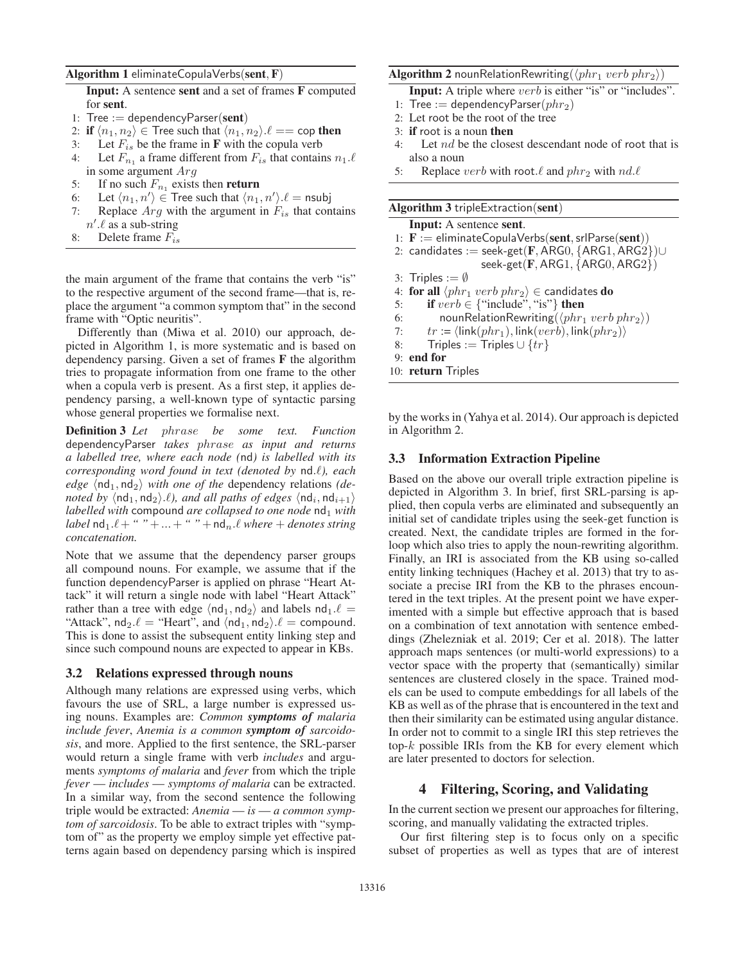#### Algorithm 1 eliminateCopulaVerbs(sent, F)

Input: A sentence sent and a set of frames F computed for sent.

- 1: Tree := dependencyParser(sent)
- 2: if  $\langle n_1, n_2 \rangle \in \mathsf{T}$ ree such that  $\langle n_1, n_2 \rangle \ell == \mathsf{cop}$  then
- 3: Let  $F_{is}$  be the frame in **F** with the copula verb
- 4: Let  $F_{n_1}$  a frame different from  $F_{is}$  that contains  $n_1.\ell$ in some argument Arg
- 5: If no such  $F_{n_1}$  exists then **return**<br>6: Let  $\langle n_1, n' \rangle \in$  Tree such that  $\langle n_1 \rangle$
- 6: Let  $\langle n_1, n' \rangle \in \text{Tree such that } \langle n_1, n' \rangle \ell = \text{nsubj}$
- 7: Replace  $Arg$  with the argument in  $F_{is}$  that contains
- $n'.\ell$  as a sub-string
- 8: Delete frame  $F_{is}$

the main argument of the frame that contains the verb "is" to the respective argument of the second frame—that is, replace the argument "a common symptom that" in the second frame with "Optic neuritis".

Differently than (Miwa et al. 2010) our approach, depicted in Algorithm 1, is more systematic and is based on dependency parsing. Given a set of frames F the algorithm tries to propagate information from one frame to the other when a copula verb is present. As a first step, it applies dependency parsing, a well-known type of syntactic parsing whose general properties we formalise next.

Definition 3 *Let* phrase *be some text. Function* dependencyParser *takes* phrase *as input and returns a labelled tree, where each node (*nd*) is labelled with its* corresponding word found in text (denoted by nd.l), each  $\deg e$   $\langle \text{nd}_1, \text{nd}_2 \rangle$  *with one of the* dependency relations *(denoted by*  $\langle$ nd<sub>1</sub>, nd<sub>2</sub> $\rangle$ . $\ell$ *), and all paths of edges*  $\langle$ nd<sub>i</sub>, nd<sub>i+1</sub> $\rangle$ *labelled with* compound *are collapsed to one node* nd<sub>1</sub> *with*  $$ *concatenation.*

Note that we assume that the dependency parser groups all compound nouns. For example, we assume that if the function dependencyParser is applied on phrase "Heart Attack" it will return a single node with label "Heart Attack" rather than a tree with edge  $\langle nd_1, nd_2 \rangle$  and labels  $nd_1.\ell =$ "Attack",  $nd_2 \ell =$  "Heart", and  $\langle nd_1, nd_2 \rangle \ell =$  compound. This is done to assist the subsequent entity linking step and since such compound nouns are expected to appear in KBs.

#### 3.2 Relations expressed through nouns

Although many relations are expressed using verbs, which favours the use of SRL, a large number is expressed using nouns. Examples are: *Common symptoms of malaria include fever*, *Anemia is a common symptom of sarcoidosis*, and more. Applied to the first sentence, the SRL-parser would return a single frame with verb *includes* and arguments *symptoms of malaria* and *fever* from which the triple *fever* — *includes* — *symptoms of malaria* can be extracted. In a similar way, from the second sentence the following triple would be extracted: *Anemia* — *is* — *a common symptom of sarcoidosis*. To be able to extract triples with "symptom of" as the property we employ simple yet effective patterns again based on dependency parsing which is inspired

# $\mathbf{Algorithm~2}$  nounRelationRewriting $(\langle phr_1\;verb\;phr_2 \rangle)$

**Input:** A triple where *verb* is either "is" or "includes".

- 1: Tree := dependencyParser( $phr_2$ )
- 2: Let root be the root of the tree
- 3: if root is a noun then
- 4: Let nd be the closest descendant node of root that is also a noun
- 5: Replace *verb* with root.  $\ell$  and  $phr_2$  with  $nd.\ell$

#### Algorithm 3 tripleExtraction(sent)

|               | 1: $\mathbf{F} :=$ eliminateCopulaVerbs(sent, srlParse(sent))                                 |
|---------------|-----------------------------------------------------------------------------------------------|
|               | 2: candidates := seek-get( $\mathbf{F}, \mathsf{ARG0}, \mathsf{ARG1}, \mathsf{ARG2}$ ) $\cup$ |
|               | seek-get $(F, ARG1, \{ARG0, ARG2\})$                                                          |
|               | 3: Triples := $\emptyset$                                                                     |
|               | 4: for all $\langle phr_1 \nvert p \rangle \in$ candidates do                                 |
| 5:            | <b>if</b> $verb \in {``include", ''is"}$ then                                                 |
| 6:            | nounRelationRewriting( $\langle phr_1 \nvert v$ erb $\vert phr_2 \rangle$ )                   |
| 7:            | $tr := \langle \textsf{link}(phr_1), \textsf{link}(verb), \textsf{link}(phr_2) \rangle$       |
| 8:            | Triples := Triples $\cup \{tr\}$                                                              |
| end for<br>9: |                                                                                               |
|               | 10: return Triples                                                                            |

by the works in (Yahya et al. 2014). Our approach is depicted in Algorithm 2.

### 3.3 Information Extraction Pipeline

Based on the above our overall triple extraction pipeline is depicted in Algorithm 3. In brief, first SRL-parsing is applied, then copula verbs are eliminated and subsequently an initial set of candidate triples using the seek-get function is created. Next, the candidate triples are formed in the forloop which also tries to apply the noun-rewriting algorithm. Finally, an IRI is associated from the KB using so-called entity linking techniques (Hachey et al. 2013) that try to associate a precise IRI from the KB to the phrases encountered in the text triples. At the present point we have experimented with a simple but effective approach that is based on a combination of text annotation with sentence embeddings (Zhelezniak et al. 2019; Cer et al. 2018). The latter approach maps sentences (or multi-world expressions) to a vector space with the property that (semantically) similar sentences are clustered closely in the space. Trained models can be used to compute embeddings for all labels of the KB as well as of the phrase that is encountered in the text and then their similarity can be estimated using angular distance. In order not to commit to a single IRI this step retrieves the top- $k$  possible IRIs from the KB for every element which are later presented to doctors for selection.

## 4 Filtering, Scoring, and Validating

In the current section we present our approaches for filtering, scoring, and manually validating the extracted triples.

Our first filtering step is to focus only on a specific subset of properties as well as types that are of interest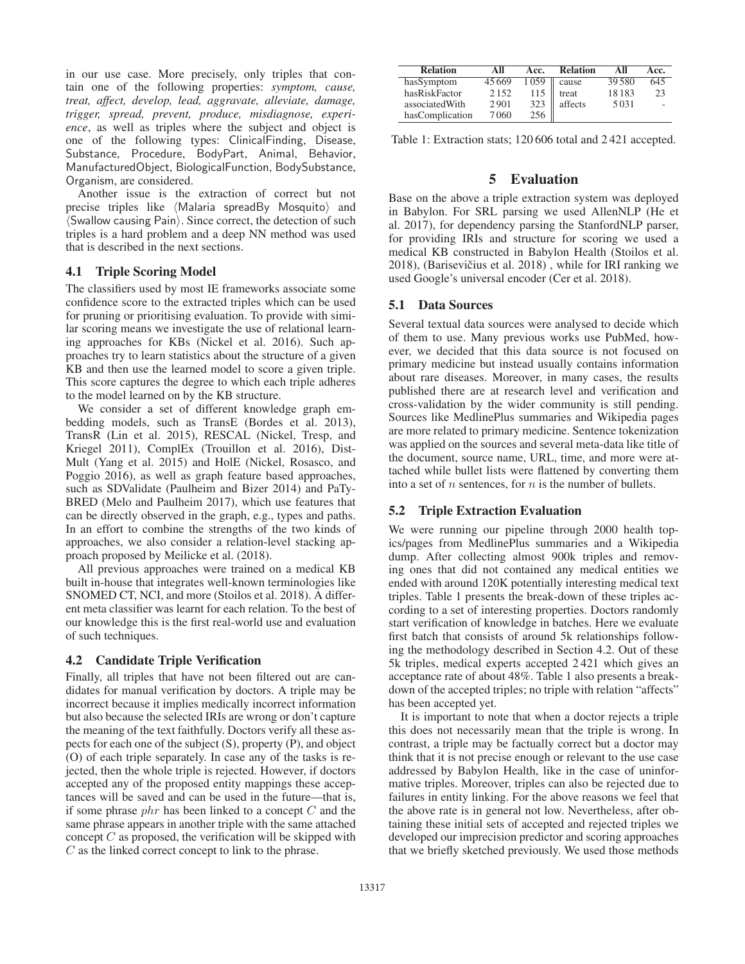in our use case. More precisely, only triples that contain one of the following properties: *symptom, cause, treat, affect, develop, lead, aggravate, alleviate, damage, trigger, spread, prevent, produce, misdiagnose, experience*, as well as triples where the subject and object is one of the following types: ClinicalFinding, Disease, Substance, Procedure, BodyPart, Animal, Behavior, ManufacturedObject, BiologicalFunction, BodySubstance, Organism, are considered.

Another issue is the extraction of correct but not precise triples like (Malaria spreadBy Mosquito) and  $\langle$  Swallow causing Pain $\rangle$ . Since correct, the detection of such triples is a hard problem and a deep NN method was used that is described in the next sections.

### 4.1 Triple Scoring Model

The classifiers used by most IE frameworks associate some confidence score to the extracted triples which can be used for pruning or prioritising evaluation. To provide with similar scoring means we investigate the use of relational learning approaches for KBs (Nickel et al. 2016). Such approaches try to learn statistics about the structure of a given KB and then use the learned model to score a given triple. This score captures the degree to which each triple adheres to the model learned on by the KB structure.

We consider a set of different knowledge graph embedding models, such as TransE (Bordes et al. 2013), TransR (Lin et al. 2015), RESCAL (Nickel, Tresp, and Kriegel 2011), ComplEx (Trouillon et al. 2016), Dist-Mult (Yang et al. 2015) and HolE (Nickel, Rosasco, and Poggio 2016), as well as graph feature based approaches, such as SDValidate (Paulheim and Bizer 2014) and PaTy-BRED (Melo and Paulheim 2017), which use features that can be directly observed in the graph, e.g., types and paths. In an effort to combine the strengths of the two kinds of approaches, we also consider a relation-level stacking approach proposed by Meilicke et al. (2018).

All previous approaches were trained on a medical KB built in-house that integrates well-known terminologies like SNOMED CT, NCI, and more (Stoilos et al. 2018). A different meta classifier was learnt for each relation. To the best of our knowledge this is the first real-world use and evaluation of such techniques.

## 4.2 Candidate Triple Verification

Finally, all triples that have not been filtered out are candidates for manual verification by doctors. A triple may be incorrect because it implies medically incorrect information but also because the selected IRIs are wrong or don't capture the meaning of the text faithfully. Doctors verify all these aspects for each one of the subject (S), property (P), and object (O) of each triple separately. In case any of the tasks is rejected, then the whole triple is rejected. However, if doctors accepted any of the proposed entity mappings these acceptances will be saved and can be used in the future—that is, if some phrase  $phr$  has been linked to a concept  $C$  and the same phrase appears in another triple with the same attached concept  $C$  as proposed, the verification will be skipped with C as the linked correct concept to link to the phrase.

| <b>Relation</b> | All   | Acc. | <b>Relation</b> | All    | Acc. |
|-----------------|-------|------|-----------------|--------|------|
| hasSymptom      | 45669 | 1059 | cause           | 39.580 | 645  |
| hasRiskFactor   | 2152  | 115  | treat           | 18183  | 23   |
| associatedWith  | 2901  | 323  | affects         | 5031   | ٠    |
| hasComplication | 7060  | 256  |                 |        |      |

Table 1: Extraction stats; 120 606 total and 2 421 accepted.

# 5 Evaluation

Base on the above a triple extraction system was deployed in Babylon. For SRL parsing we used AllenNLP (He et al. 2017), for dependency parsing the StanfordNLP parser, for providing IRIs and structure for scoring we used a medical KB constructed in Babylon Health (Stoilos et al. 2018), (Barisevičius et al. 2018), while for IRI ranking we used Google's universal encoder (Cer et al. 2018).

### 5.1 Data Sources

Several textual data sources were analysed to decide which of them to use. Many previous works use PubMed, however, we decided that this data source is not focused on primary medicine but instead usually contains information about rare diseases. Moreover, in many cases, the results published there are at research level and verification and cross-validation by the wider community is still pending. Sources like MedlinePlus summaries and Wikipedia pages are more related to primary medicine. Sentence tokenization was applied on the sources and several meta-data like title of the document, source name, URL, time, and more were attached while bullet lists were flattened by converting them into a set of  $n$  sentences, for  $n$  is the number of bullets.

#### 5.2 Triple Extraction Evaluation

We were running our pipeline through 2000 health topics/pages from MedlinePlus summaries and a Wikipedia dump. After collecting almost 900k triples and removing ones that did not contained any medical entities we ended with around 120K potentially interesting medical text triples. Table 1 presents the break-down of these triples according to a set of interesting properties. Doctors randomly start verification of knowledge in batches. Here we evaluate first batch that consists of around 5k relationships following the methodology described in Section 4.2. Out of these 5k triples, medical experts accepted 2 421 which gives an acceptance rate of about 48%. Table 1 also presents a breakdown of the accepted triples; no triple with relation "affects" has been accepted yet.

It is important to note that when a doctor rejects a triple this does not necessarily mean that the triple is wrong. In contrast, a triple may be factually correct but a doctor may think that it is not precise enough or relevant to the use case addressed by Babylon Health, like in the case of uninformative triples. Moreover, triples can also be rejected due to failures in entity linking. For the above reasons we feel that the above rate is in general not low. Nevertheless, after obtaining these initial sets of accepted and rejected triples we developed our imprecision predictor and scoring approaches that we briefly sketched previously. We used those methods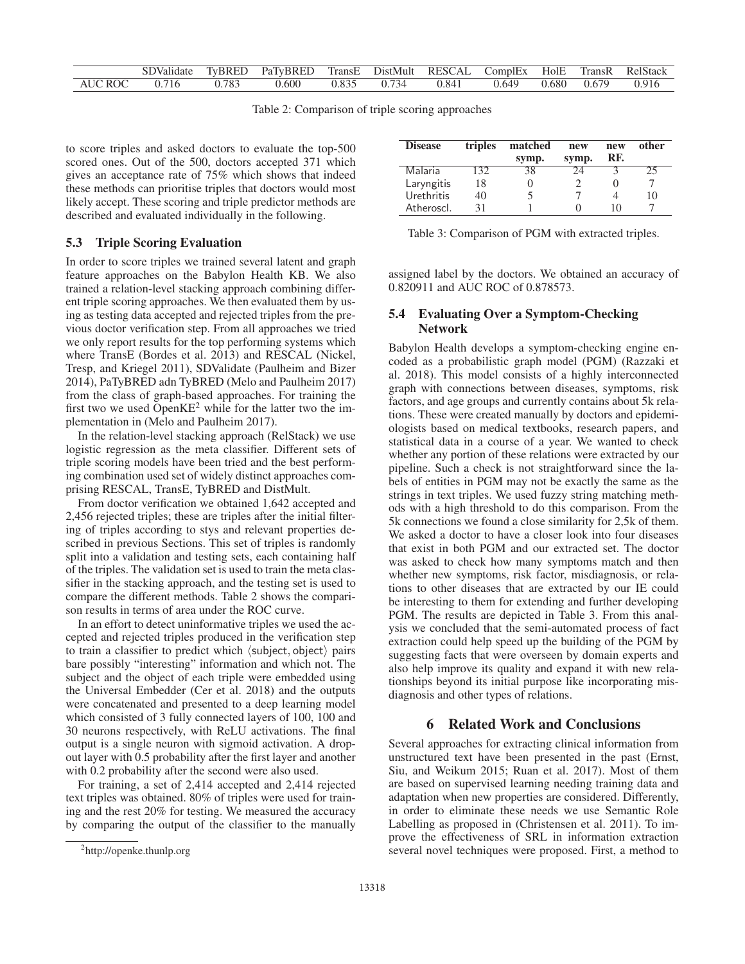|                 | SDValidate |       | TyBRED PaTyBRED TransE DistMult RESCAL ComplEx HolE TransR RelStack |                 |       |                   |  |       |
|-----------------|------------|-------|---------------------------------------------------------------------|-----------------|-------|-------------------|--|-------|
| $AUC ROC$ 0.716 |            | 0.783 | 0.600                                                               | $0.835$ $0.734$ | 0.841 | 0.649 0.680 0.679 |  | 0.916 |

Table 2: Comparison of triple scoring approaches

to score triples and asked doctors to evaluate the top-500 scored ones. Out of the 500, doctors accepted 371 which gives an acceptance rate of 75% which shows that indeed these methods can prioritise triples that doctors would most likely accept. These scoring and triple predictor methods are described and evaluated individually in the following.

# 5.3 Triple Scoring Evaluation

In order to score triples we trained several latent and graph feature approaches on the Babylon Health KB. We also trained a relation-level stacking approach combining different triple scoring approaches. We then evaluated them by using as testing data accepted and rejected triples from the previous doctor verification step. From all approaches we tried we only report results for the top performing systems which where TransE (Bordes et al. 2013) and RESCAL (Nickel, Tresp, and Kriegel 2011), SDValidate (Paulheim and Bizer 2014), PaTyBRED adn TyBRED (Melo and Paulheim 2017) from the class of graph-based approaches. For training the first two we used  $OpenKE^2$  while for the latter two the implementation in (Melo and Paulheim 2017).

In the relation-level stacking approach (RelStack) we use logistic regression as the meta classifier. Different sets of triple scoring models have been tried and the best performing combination used set of widely distinct approaches comprising RESCAL, TransE, TyBRED and DistMult.

From doctor verification we obtained 1,642 accepted and 2,456 rejected triples; these are triples after the initial filtering of triples according to stys and relevant properties described in previous Sections. This set of triples is randomly split into a validation and testing sets, each containing half of the triples. The validation set is used to train the meta classifier in the stacking approach, and the testing set is used to compare the different methods. Table 2 shows the comparison results in terms of area under the ROC curve.

In an effort to detect uninformative triples we used the accepted and rejected triples produced in the verification step to train a classifier to predict which (subject, object) pairs bare possibly "interesting" information and which not. The subject and the object of each triple were embedded using the Universal Embedder (Cer et al. 2018) and the outputs were concatenated and presented to a deep learning model which consisted of 3 fully connected layers of 100, 100 and 30 neurons respectively, with ReLU activations. The final output is a single neuron with sigmoid activation. A dropout layer with 0.5 probability after the first layer and another with 0.2 probability after the second were also used.

For training, a set of 2,414 accepted and 2,414 rejected text triples was obtained. 80% of triples were used for training and the rest 20% for testing. We measured the accuracy by comparing the output of the classifier to the manually

| <b>Disease</b> | triples | matched | new   | new | other |  |
|----------------|---------|---------|-------|-----|-------|--|
|                |         | symp.   | symp. | RF. |       |  |
| Malaria        | 132.    | 38      | 24    |     | 25    |  |
| Laryngitis     | 18      |         |       |     |       |  |
| Urethritis     | 40      |         |       |     | 10    |  |
| Atheroscl.     | 31      |         |       | 10  |       |  |

Table 3: Comparison of PGM with extracted triples.

assigned label by the doctors. We obtained an accuracy of 0.820911 and AUC ROC of 0.878573.

## 5.4 Evaluating Over a Symptom-Checking Network

Babylon Health develops a symptom-checking engine encoded as a probabilistic graph model (PGM) (Razzaki et al. 2018). This model consists of a highly interconnected graph with connections between diseases, symptoms, risk factors, and age groups and currently contains about 5k relations. These were created manually by doctors and epidemiologists based on medical textbooks, research papers, and statistical data in a course of a year. We wanted to check whether any portion of these relations were extracted by our pipeline. Such a check is not straightforward since the labels of entities in PGM may not be exactly the same as the strings in text triples. We used fuzzy string matching methods with a high threshold to do this comparison. From the 5k connections we found a close similarity for 2,5k of them. We asked a doctor to have a closer look into four diseases that exist in both PGM and our extracted set. The doctor was asked to check how many symptoms match and then whether new symptoms, risk factor, misdiagnosis, or relations to other diseases that are extracted by our IE could be interesting to them for extending and further developing PGM. The results are depicted in Table 3. From this analysis we concluded that the semi-automated process of fact extraction could help speed up the building of the PGM by suggesting facts that were overseen by domain experts and also help improve its quality and expand it with new relationships beyond its initial purpose like incorporating misdiagnosis and other types of relations.

# 6 Related Work and Conclusions

Several approaches for extracting clinical information from unstructured text have been presented in the past (Ernst, Siu, and Weikum 2015; Ruan et al. 2017). Most of them are based on supervised learning needing training data and adaptation when new properties are considered. Differently, in order to eliminate these needs we use Semantic Role Labelling as proposed in (Christensen et al. 2011). To improve the effectiveness of SRL in information extraction several novel techniques were proposed. First, a method to

<sup>2</sup> http://openke.thunlp.org